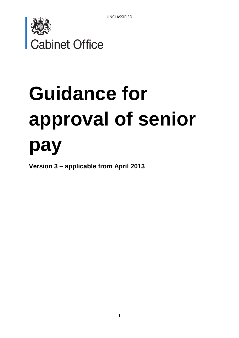

# **Guidance for approval of senior pay**

**Version 3 – applicable from April 2013**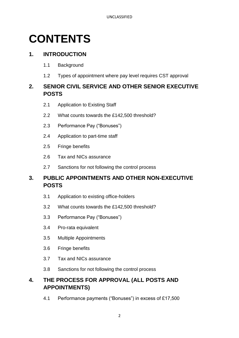## **CONTENTS**

## **1. INTRODUCTION**

- 1.1 Background
- 1.2 Types of appointment where pay level requires CST approval

## **2. SENIOR CIVIL SERVICE AND OTHER SENIOR EXECUTIVE POSTS**

- 2.1 Application to Existing Staff
- 2.2 What counts towards the £142,500 threshold?
- 2.3 Performance Pay ("Bonuses")
- 2.4 Application to part-time staff
- 2.5 Fringe benefits
- 2.6 Tax and NICs assurance
- 2.7 Sanctions for not following the control process

## **3. PUBLIC APPOINTMENTS AND OTHER NON-EXECUTIVE POSTS**

- 3.1 Application to existing office-holders
- 3.2 What counts towards the £142,500 threshold?
- 3.3 Performance Pay ("Bonuses")
- 3.4 Pro-rata equivalent
- 3.5 Multiple Appointments
- 3.6 Fringe benefits
- 3.7 Tax and NICs assurance
- 3.8 Sanctions for not following the control process

## **4. THE PROCESS FOR APPROVAL (ALL POSTS AND APPOINTMENTS)**

4.1 Performance payments ("Bonuses") in excess of £17,500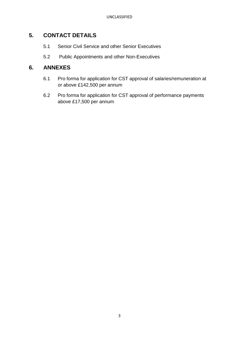## **5. CONTACT DETAILS**

- 5.1 Senior Civil Service and other Senior Executives
- 5.2 Public Appointments and other Non-Executives

#### **6. ANNEXES**

- 6.1 Pro forma for application for CST approval of salaries/remuneration at or above £142,500 per annum
- 6.2 Pro forma for application for CST approval of performance payments above £17,500 per annum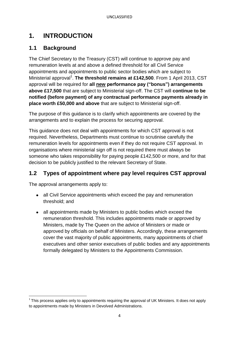## **1. INTRODUCTION**

## **1.1 Background**

The Chief Secretary to the Treasury (CST) will continue to approve pay and remuneration levels at and above a defined threshold for all Civil Service appointments and appointments to public sector bodies which are subject to Ministerial approval<sup>1</sup>. The threshold remains at £142,500. From 1 April 2013, CST approval will be required for **all new performance pay ("bonus") arrangements above £17,500** that are subject to Ministerial sign-off. The CST will **continue to be notified (before payment) of any contractual performance payments already in place worth £50,000 and above** that are subject to Ministerial sign-off.

The purpose of this guidance is to clarify which appointments are covered by the arrangements and to explain the process for securing approval.

This guidance does not deal with appointments for which CST approval is not required. Nevertheless, Departments must continue to scrutinise carefully the remuneration levels for appointments even if they do not require CST approval. In organisations where ministerial sign off is not required there must always be someone who takes responsibility for paying people £142,500 or more, and for that decision to be publicly justified to the relevant Secretary of State.

## **1.2 Types of appointment where pay level requires CST approval**

The approval arrangements apply to:

- all Civil Service appointments which exceed the pay and remuneration threshold; and
- all appointments made by Ministers to public bodies which exceed the remuneration threshold. This includes appointments made or approved by Ministers, made by The Queen on the advice of Ministers or made or approved by officials on behalf of Ministers. Accordingly, these arrangements cover the vast majority of public appointments, many appointments of chief executives and other senior executives of public bodies and any appointments formally delegated by Ministers to the Appointments Commission.

<sup>1</sup>  $1$ This process applies only to appointments requiring the approval of UK Ministers. It does not apply to appointments made by Ministers in Devolved Administrations.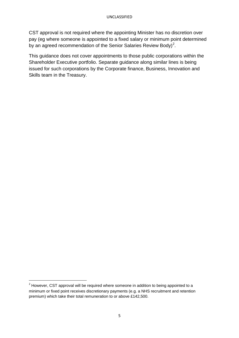#### UNCLASSIFIED

CST approval is not required where the appointing Minister has no discretion over pay (eg where someone is appointed to a fixed salary or minimum point determined by an agreed recommendation of the Senior Salaries Review Body)<sup>2</sup>.

This guidance does not cover appointments to those public corporations within the Shareholder Executive portfolio. Separate guidance along similar lines is being issued for such corporations by the Corporate finance, Business, Innovation and Skills team in the Treasury.

**.** 

 $2$  However, CST approval will be required where someone in addition to being appointed to a minimum or fixed point receives discretionary payments (e.g. a NHS recruitment and retention premium) which take their total remuneration to or above £142,500.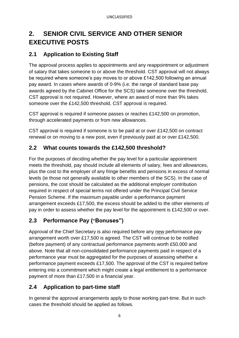## **2. SENIOR CIVIL SERVICE AND OTHER SENIOR EXECUTIVE POSTS**

## **2.1 Application to Existing Staff**

The approval process applies to appointments and any reappointment or adjustment of salary that takes someone to or above the threshold. CST approval will not always be required where someone's pay moves to or above £142,500 following an annual pay award. In cases where awards of 0-9% (i.e. the range of standard base pay awards agreed by the Cabinet Office for the SCS) take someone over the threshold, CST approval is not required. However, where an award of more than 9% takes someone over the £142,500 threshold, CST approval is required.

CST approval is required if someone passes or reaches £142,500 on promotion, through accelerated payments or from new allowances.

CST approval is required if someone is to be paid at or over £142,500 on contract renewal or on moving to a new post, even if previously paid at or over £142,500.

## **2.2 What counts towards the £142,500 threshold?**

For the purposes of deciding whether the pay level for a particular appointment meets the threshold, pay should include all elements of salary, fees and allowances, plus the cost to the employer of any fringe benefits and pensions in excess of normal levels (ie those not generally available to other members of the SCS). In the case of pensions, the cost should be calculated as the additional employer contribution required in respect of special terms not offered under the Principal Civil Service Pension Scheme. If the maximum payable under a performance payment arrangement exceeds £17,500, the excess should be added to the other elements of pay in order to assess whether the pay level for the appointment is £142,500 or over.

## **2.3 Performance Pay ("Bonuses")**

Approval of the Chief Secretary is also required before any new performance pay arrangement worth over £17,500 is agreed. The CST will continue to be notified (before payment) of any contractual performance payments worth £50,000 and above. Note that all non-consolidated performance payments paid in respect of a performance year must be aggregated for the purposes of assessing whether a performance payment exceeds £17,500. The approval of the CST is required before entering into a commitment which might create a legal entitlement to a performance payment of more than £17,500 in a financial year.

## **2.4 Application to part-time staff**

In general the approval arrangements apply to those working part-time. But in such cases the threshold should be applied as follows.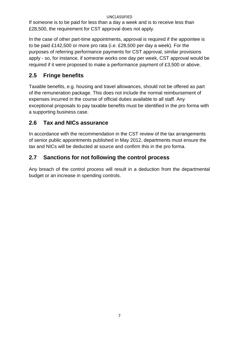#### UNCLASSIFIED

If someone is to be paid for less than a day a week and is to receive less than £28,500, the requirement for CST approval does not apply.

In the case of other part-time appointments, approval is required if the appointee is to be paid £142,500 or more pro rata (i.e. £28,500 per day a week). For the purposes of referring performance payments for CST approval, similar provisions apply - so, for instance, if someone works one day per week, CST approval would be required if it were proposed to make a performance payment of £3,500 or above.

## **2.5 Fringe benefits**

Taxable benefits, e.g. housing and travel allowances, should not be offered as part of the remuneration package. This does not include the normal reimbursement of expenses incurred in the course of official duties available to all staff. Any exceptional proposals to pay taxable benefits must be identified in the pro forma with a supporting business case.

## **2.6 Tax and NICs assurance**

In accordance with the recommendation in the CST review of the tax arrangements of senior public appointments published in May 2012, departments must ensure the tax and NICs will be deducted at source and confirm this in the pro forma.

## **2.7 Sanctions for not following the control process**

Any breach of the control process will result in a deduction from the departmental budget or an increase in spending controls.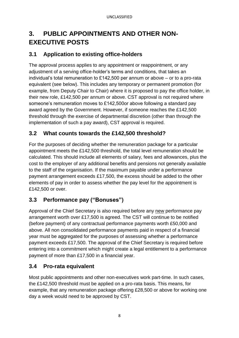## **3. PUBLIC APPOINTMENTS AND OTHER NON-EXECUTIVE POSTS**

## **3.1 Application to existing office-holders**

The approval process applies to any appointment or reappointment, or any adjustment of a serving office-holder's terms and conditions, that takes an individual's total remuneration to £142,500 per annum or above – or to a pro-rata equivalent (see below). This includes any temporary or permanent promotion (for example, from Deputy Chair to Chair) where it is proposed to pay the office holder, in their new role, £142,500 per annum or above. CST approval is not required where someone's remuneration moves to £142,500or above following a standard pay award agreed by the Government. However, if someone reaches the £142,500 threshold through the exercise of departmental discretion (other than through the implementation of such a pay award), CST approval is required.

## **3.2 What counts towards the £142,500 threshold?**

For the purposes of deciding whether the remuneration package for a particular appointment meets the £142,500 threshold, the total level remuneration should be calculated. This should include all elements of salary, fees and allowances, plus the cost to the employer of any additional benefits and pensions not generally available to the staff of the organisation. If the maximum payable under a performance payment arrangement exceeds £17,500, the excess should be added to the other elements of pay in order to assess whether the pay level for the appointment is £142,500 or over.

## **3.3 Performance pay ("Bonuses")**

Approval of the Chief Secretary is also required before any new performance pay arrangement worth over £17,500 is agreed. The CST will continue to be notified (before payment) of any contractual performance payments worth £50,000 and above. All non consolidated performance payments paid in respect of a financial year must be aggregated for the purposes of assessing whether a performance payment exceeds £17,500. The approval of the Chief Secretary is required before entering into a commitment which might create a legal entitlement to a performance payment of more than £17,500 in a financial year.

## **3.4 Pro-rata equivalent**

Most public appointments and other non-executives work part-time. In such cases, the £142,500 threshold must be applied on a pro-rata basis. This means, for example, that any remuneration package offering £28,500 or above for working one day a week would need to be approved by CST.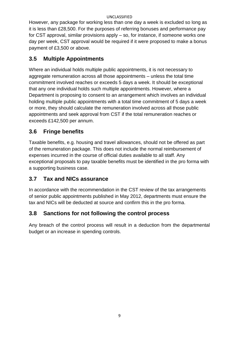#### UNCLASSIFIED

However, any package for working less than one day a week is excluded so long as it is less than £28,500. For the purposes of referring bonuses and performance pay for CST approval, similar provisions apply – so, for instance, if someone works one day per week, CST approval would be required if it were proposed to make a bonus payment of £3,500 or above.

## **3.5 Multiple Appointments**

Where an individual holds multiple public appointments, it is not necessary to aggregate remuneration across all those appointments – unless the total time commitment involved reaches or exceeds 5 days a week. It should be exceptional that any one individual holds such multiple appointments. However, where a Department is proposing to consent to an arrangement which involves an individual holding multiple public appointments with a total time commitment of 5 days a week or more, they should calculate the remuneration involved across all those public appointments and seek approval from CST if the total remuneration reaches or exceeds £142,500 per annum.

## **3.6 Fringe benefits**

Taxable benefits, e.g. housing and travel allowances, should not be offered as part of the remuneration package. This does not include the normal reimbursement of expenses incurred in the course of official duties available to all staff. Any exceptional proposals to pay taxable benefits must be identified in the pro forma with a supporting business case.

## **3.7 Tax and NICs assurance**

In accordance with the recommendation in the CST review of the tax arrangements of senior public appointments published in May 2012, departments must ensure the tax and NICs will be deducted at source and confirm this in the pro forma.

## **3.8 Sanctions for not following the control process**

Any breach of the control process will result in a deduction from the departmental budget or an increase in spending controls.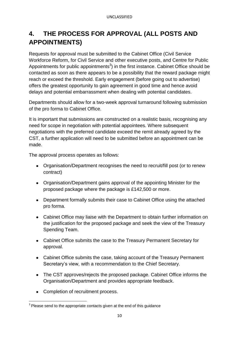## **4. THE PROCESS FOR APPROVAL (ALL POSTS AND APPOINTMENTS)**

Requests for approval must be submitted to the Cabinet Office (Civil Service Workforce Reform, for Civil Service and other executive posts, and Centre for Public Appointments for public appointments<sup>3</sup>) in the first instance. Cabinet Office should be contacted as soon as there appears to be a possibility that the reward package might reach or exceed the threshold. Early engagement (before going out to advertise) offers the greatest opportunity to gain agreement in good time and hence avoid delays and potential embarrassment when dealing with potential candidates.

Departments should allow for a two-week approval turnaround following submission of the pro forma to Cabinet Office.

It is important that submissions are constructed on a realistic basis, recognising any need for scope in negotiation with potential appointees. Where subsequent negotiations with the preferred candidate exceed the remit already agreed by the CST, a further application will need to be submitted before an appointment can be made.

The approval process operates as follows:

- Organisation/Department recognises the need to recruit/fill post (or to renew contract)
- Organisation/Department gains approval of the appointing Minister for the proposed package where the package is £142,500 or more.
- Department formally submits their case to Cabinet Office using the attached pro forma.
- Cabinet Office may liaise with the Department to obtain further information on the justification for the proposed package and seek the view of the Treasury Spending Team.
- Cabinet Office submits the case to the Treasury Permanent Secretary for approval.
- Cabinet Office submits the case, taking account of the Treasury Permanent Secretary's view, with a recommendation to the Chief Secretary.
- The CST approves/rejects the proposed package. Cabinet Office informs the Organisation/Department and provides appropriate feedback.
- Completion of recruitment process.

**<sup>.</sup>**  $3$  Please send to the appropriate contacts given at the end of this guidance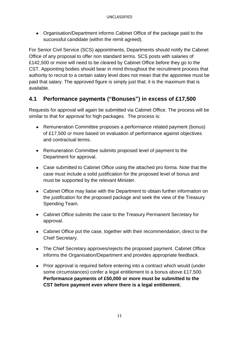Organisation/Department informs Cabinet Office of the package paid to the successful candidate (within the remit agreed).

For Senior Civil Service (SCS) appointments, Departments should notify the Cabinet Office of any proposal to offer non standard terms. SCS posts with salaries of £142,500 or more will need to be cleared by Cabinet Office before they go to the CST. Appointing bodies should bear in mind throughout the recruitment process that authority to recruit to a certain salary level does not mean that the appointee must be paid that salary. The approved figure is simply just that; it is the maximum that is available.

## **4.1 Performance payments ("Bonuses") in excess of £17,500**

Requests for approval will again be submitted via Cabinet Office. The process will be similar to that for approval for high packages. The process is:

- Remuneration Committee proposes a performance related payment (bonus) of £17,500 or more based on evaluation of performance against objectives and contractual terms.
- Remuneration Committee submits proposed level of payment to the Department for approval.
- Case submitted to Cabinet Office using the attached pro forma. Note that the case must include a solid justification for the proposed level of bonus and must be supported by the relevant Minister.
- Cabinet Office may liaise with the Department to obtain further information on the justification for the proposed package and seek the view of the Treasury Spending Team.
- Cabinet Office submits the case to the Treasury Permanent Secretary for approval.
- Cabinet Office put the case, together with their recommendation, direct to the Chief Secretary.
- The Chief Secretary approves/rejects the proposed payment. Cabinet Office informs the Organisation/Department and provides appropriate feedback.
- Prior approval is required before entering into a contract which would (under some circumstances) confer a legal entitlement to a bonus above £17,500. **Performance payments of £50,000 or more must be submitted to the CST before payment even where there is a legal entitlement.**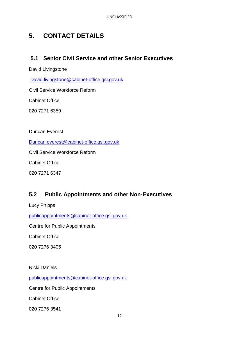## **5. CONTACT DETAILS**

#### **5.1 Senior Civil Service and other Senior Executives**

David Livingstone

[David.livingstone@cabinet-office.gsi.gov.uk](mailto:David.livingstone@cabinet-office.gsi.gov.uk)

Civil Service Workforce Reform

Cabinet Office

020 7271 6359

Duncan Everest

[Duncan.everest@cabinet-office.gsi.gov.uk](mailto:Duncan.everest@cabinet-office.gsi.gov.uk)

Civil Service Workforce Reform

Cabinet Office

020 7271 6347

## **5.2 Public Appointments and other Non-Executives**

Lucy Phipps

[publicappointments@cabinet-office.gsi.gov.uk](mailto:publicappointments@cabinet-office.gsi.gov.uk)

Centre for Public Appointments

Cabinet Office

020 7276 3405

Nicki Daniels

[publicappointments@cabinet-office.gsi.gov.uk](mailto:publicappointments@cabinet-office.gsi.gov.uk)

Centre for Public Appointments

Cabinet Office

020 7276 3541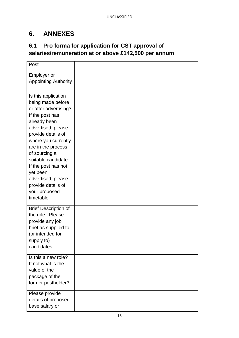## **6. ANNEXES**

## **6.1 Pro forma for application for CST approval of salaries/remuneration at or above £142,500 per annum**

| Post                                                                                                                                                                    |  |
|-------------------------------------------------------------------------------------------------------------------------------------------------------------------------|--|
| <b>Employer or</b>                                                                                                                                                      |  |
| <b>Appointing Authority</b>                                                                                                                                             |  |
| Is this application<br>being made before<br>or after advertising?<br>If the post has<br>already been<br>advertised, please<br>provide details of<br>where you currently |  |
| are in the process<br>of sourcing a<br>suitable candidate.<br>If the post has not<br>yet been<br>advertised, please<br>provide details of<br>your proposed<br>timetable |  |
| <b>Brief Description of</b><br>the role. Please<br>provide any job<br>brief as supplied to<br>(or intended for<br>supply to)<br>candidates                              |  |
| Is this a new role?<br>If not what is the<br>value of the<br>package of the<br>former postholder?                                                                       |  |
| Please provide<br>details of proposed<br>base salary or                                                                                                                 |  |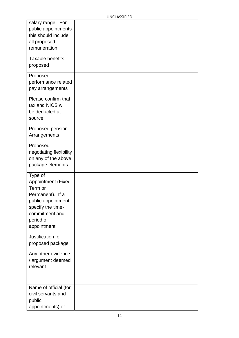| salary range. For<br>public appointments<br>this should include<br>all proposed                                                                                |  |
|----------------------------------------------------------------------------------------------------------------------------------------------------------------|--|
| remuneration.<br>Taxable benefits                                                                                                                              |  |
| proposed                                                                                                                                                       |  |
| Proposed<br>performance related<br>pay arrangements                                                                                                            |  |
| Please confirm that<br>tax and NICS will<br>be deducted at<br>source                                                                                           |  |
| Proposed pension<br>Arrangements                                                                                                                               |  |
| Proposed<br>negotiating flexibility<br>on any of the above<br>package elements                                                                                 |  |
| Type of<br><b>Appointment (Fixed</b><br>Term or<br>Permanent). If a<br>public appointment,<br>specify the time-<br>commitment and<br>period of<br>appointment. |  |
| Justification for<br>proposed package                                                                                                                          |  |
| Any other evidence<br>/ argument deemed<br>relevant                                                                                                            |  |
| Name of official (for<br>civil servants and<br>public<br>appointments) or                                                                                      |  |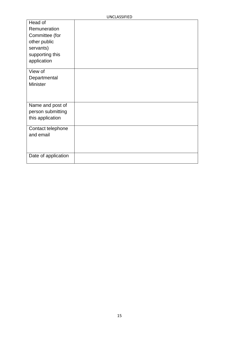| Head of                        |  |
|--------------------------------|--|
| Remuneration                   |  |
| Committee (for                 |  |
| other public                   |  |
| servants)                      |  |
| supporting this                |  |
| application                    |  |
| View of                        |  |
| Departmental                   |  |
| <b>Minister</b>                |  |
|                                |  |
|                                |  |
| Name and post of               |  |
| person submitting              |  |
| this application               |  |
|                                |  |
| Contact telephone<br>and email |  |
|                                |  |
|                                |  |
|                                |  |
| Date of application            |  |
|                                |  |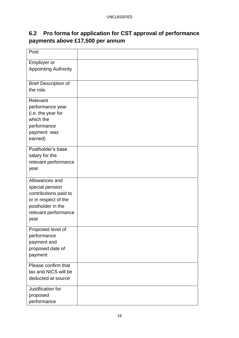## **6.2 Pro forma for application for CST approval of performance payments above £17,500 per annum**

| Post                        |  |
|-----------------------------|--|
| Employer or                 |  |
| <b>Appointing Authority</b> |  |
|                             |  |
| <b>Brief Description of</b> |  |
| the role.                   |  |
| Relevant                    |  |
| performance year            |  |
| (i.e. the year for          |  |
| which the                   |  |
| performance                 |  |
| payment was                 |  |
| earned)                     |  |
| Postholder's base           |  |
| salary for the              |  |
| relevant performance        |  |
| year                        |  |
| Allowances and              |  |
| special pension             |  |
| contributions paid to       |  |
| or in respect of the        |  |
| postholder in the           |  |
| relevant performance        |  |
| year                        |  |
| Proposed level of           |  |
| performance                 |  |
| payment and                 |  |
| proposed date of            |  |
| payment                     |  |
| Please confirm that         |  |
| tax and NICS will be        |  |
| deducted at source          |  |
| Justification for           |  |
| proposed                    |  |
| performance                 |  |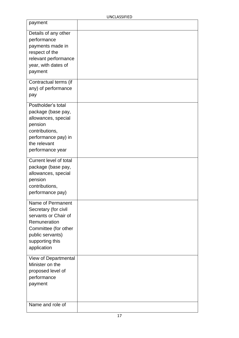| payment                                                                                                                                                         |  |
|-----------------------------------------------------------------------------------------------------------------------------------------------------------------|--|
| Details of any other<br>performance<br>payments made in<br>respect of the<br>relevant performance<br>year, with dates of<br>payment                             |  |
| Contractual terms (if<br>any) of performance<br>pay                                                                                                             |  |
| Postholder's total<br>package (base pay,<br>allowances, special<br>pension<br>contributions,<br>performance pay) in<br>the relevant<br>performance year         |  |
| Current level of total<br>package (base pay,<br>allowances, special<br>pension<br>contributions,<br>performance pay)                                            |  |
| Name of Permanent<br>Secretary (for civil<br>servants or Chair of<br>Remuneration<br>Committee (for other<br>public servants)<br>supporting this<br>application |  |
| View of Departmental<br>Minister on the<br>proposed level of<br>performance<br>payment                                                                          |  |
| Name and role of                                                                                                                                                |  |